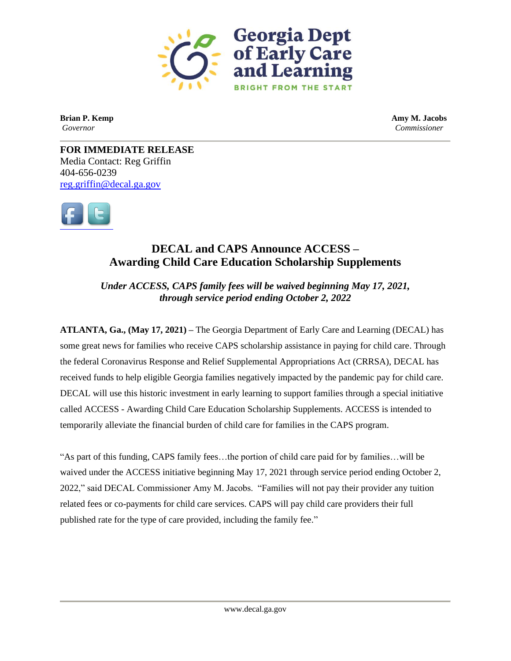

**Brian P. Kemp Amy M. Jacobs** *Governor Commissioner*

**FOR IMMEDIATE RELEASE** Media Contact: Reg Griffin 404-656-0239 [reg.griffin@decal.ga.gov](mailto:reg.griffin@decal.ga.gov)



## **DECAL and CAPS Announce ACCESS – Awarding Child Care Education Scholarship Supplements**

*Under ACCESS, CAPS family fees will be waived beginning May 17, 2021, through service period ending October 2, 2022*

**ATLANTA, Ga., (May 17, 2021) –** The Georgia Department of Early Care and Learning (DECAL) has some great news for families who receive CAPS scholarship assistance in paying for child care. Through the federal Coronavirus Response and Relief Supplemental Appropriations Act (CRRSA), DECAL has received funds to help eligible Georgia families negatively impacted by the pandemic pay for child care. DECAL will use this historic investment in early learning to support families through a special initiative called ACCESS - Awarding Child Care Education Scholarship Supplements. ACCESS is intended to temporarily alleviate the financial burden of child care for families in the CAPS program.

"As part of this funding, CAPS family fees…the portion of child care paid for by families…will be waived under the ACCESS initiative beginning May 17, 2021 through service period ending October 2, 2022," said DECAL Commissioner Amy M. Jacobs. "Families will not pay their provider any tuition related fees or co-payments for child care services. CAPS will pay child care providers their full published rate for the type of care provided, including the family fee."